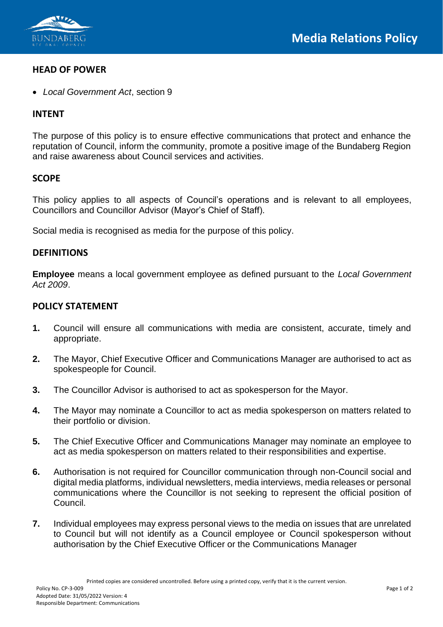

### **HEAD OF POWER**

• *Local Government Act*, section 9

# **INTENT**

The purpose of this policy is to ensure effective communications that protect and enhance the reputation of Council, inform the community, promote a positive image of the Bundaberg Region and raise awareness about Council services and activities.

# **SCOPE**

This policy applies to all aspects of Council's operations and is relevant to all employees, Councillors and Councillor Advisor (Mayor's Chief of Staff).

Social media is recognised as media for the purpose of this policy.

### **DEFINITIONS**

**Employee** means a local government employee as defined pursuant to the *Local Government Act 2009*.

#### **POLICY STATEMENT**

- **1.** Council will ensure all communications with media are consistent, accurate, timely and appropriate.
- **2.** The Mayor, Chief Executive Officer and Communications Manager are authorised to act as spokespeople for Council.
- **3.** The Councillor Advisor is authorised to act as spokesperson for the Mayor.
- **4.** The Mayor may nominate a Councillor to act as media spokesperson on matters related to their portfolio or division.
- **5.** The Chief Executive Officer and Communications Manager may nominate an employee to act as media spokesperson on matters related to their responsibilities and expertise.
- **6.** Authorisation is not required for Councillor communication through non-Council social and digital media platforms, individual newsletters, media interviews, media releases or personal communications where the Councillor is not seeking to represent the official position of Council.
- **7.** Individual employees may express personal views to the media on issues that are unrelated to Council but will not identify as a Council employee or Council spokesperson without authorisation by the Chief Executive Officer or the Communications Manager

Printed copies are considered uncontrolled. Before using a printed copy, verify that it is the current version.